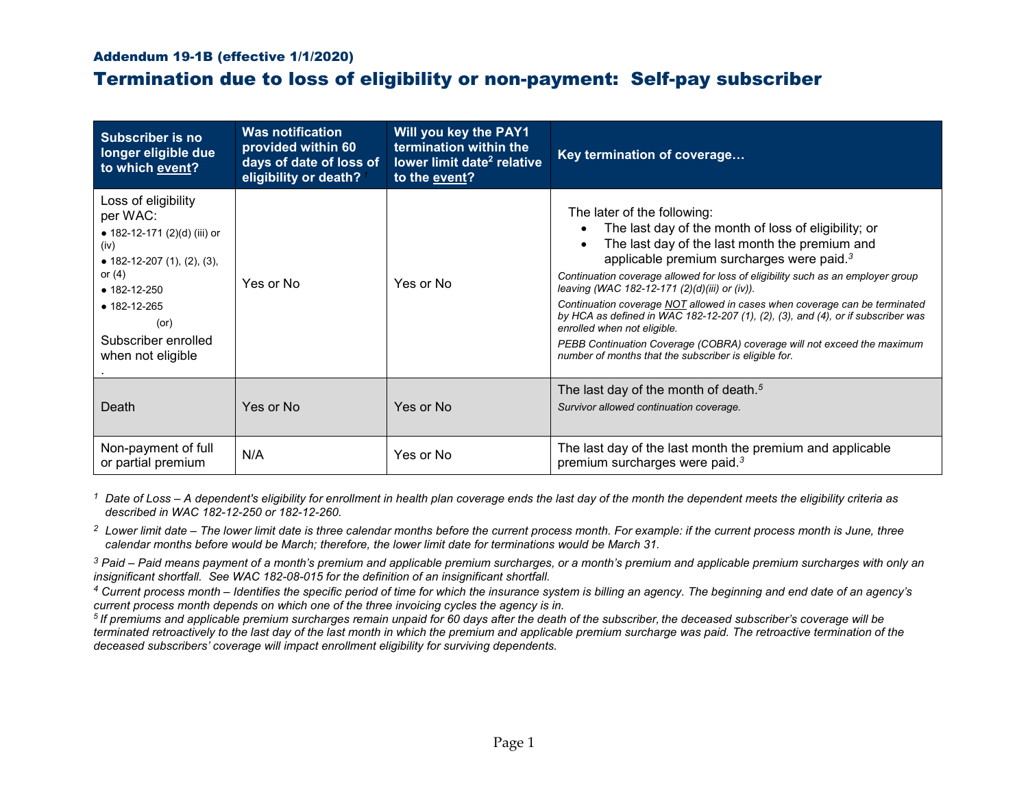## Addendum 19-1B (effective 1/1/2020)

## Termination due to loss of eligibility or non-payment: Self-pay subscriber

| <b>Subscriber is no</b><br>longer eligible due<br>to which event?                                                                                                                                                          | <b>Was notification</b><br>provided within 60<br>days of date of loss of<br>eligibility or death? | Will you key the PAY1<br>termination within the<br>lower limit date <sup>2</sup> relative<br>to the event? | Key termination of coverage                                                                                                                                                                                                                                                                                                                                                                                                                                                                                                                                                                                                                                                         |
|----------------------------------------------------------------------------------------------------------------------------------------------------------------------------------------------------------------------------|---------------------------------------------------------------------------------------------------|------------------------------------------------------------------------------------------------------------|-------------------------------------------------------------------------------------------------------------------------------------------------------------------------------------------------------------------------------------------------------------------------------------------------------------------------------------------------------------------------------------------------------------------------------------------------------------------------------------------------------------------------------------------------------------------------------------------------------------------------------------------------------------------------------------|
| Loss of eligibility<br>per WAC:<br>• 182-12-171 $(2)(d)$ (iii) or<br>(iv)<br>• 182-12-207 (1), (2), (3),<br>or $(4)$<br>$• 182 - 12 - 250$<br>$• 182 - 12 - 265$<br>$($ or $)$<br>Subscriber enrolled<br>when not eligible | Yes or No                                                                                         | Yes or No                                                                                                  | The later of the following:<br>The last day of the month of loss of eligibility; or<br>The last day of the last month the premium and<br>applicable premium surcharges were paid. <sup>3</sup><br>Continuation coverage allowed for loss of eligibility such as an employer group<br>leaving (WAC 182-12-171 (2)(d)(iii) or (iv)).<br>Continuation coverage NOT allowed in cases when coverage can be terminated<br>by HCA as defined in WAC 182-12-207 $(1)$ , $(2)$ , $(3)$ , and $(4)$ , or if subscriber was<br>enrolled when not eligible.<br>PEBB Continuation Coverage (COBRA) coverage will not exceed the maximum<br>number of months that the subscriber is eligible for. |
| Death                                                                                                                                                                                                                      | Yes or No                                                                                         | Yes or No                                                                                                  | The last day of the month of death. <sup>5</sup><br>Survivor allowed continuation coverage.                                                                                                                                                                                                                                                                                                                                                                                                                                                                                                                                                                                         |
| Non-payment of full<br>or partial premium                                                                                                                                                                                  | N/A                                                                                               | Yes or No                                                                                                  | The last day of the last month the premium and applicable<br>premium surcharges were paid. <sup>3</sup>                                                                                                                                                                                                                                                                                                                                                                                                                                                                                                                                                                             |

*<sup>1</sup> Date of Loss – A dependent's eligibility for enrollment in health plan coverage ends the last day of the month the dependent meets the eligibility criteria as described in WAC 182-12-250 or 182-12-260.*

*<sup>2</sup> Lower limit date – The lower limit date is three calendar months before the current process month. For example: if the current process month is June, three calendar months before would be March; therefore, the lower limit date for terminations would be March 31.*

*<sup>3</sup> Paid – Paid means payment of a month's premium and applicable premium surcharges, or a month's premium and applicable premium surcharges with only an insignificant shortfall. See WAC 182-08-015 for the definition of an insignificant shortfall.*

*<sup>4</sup> Current process month – Identifies the specific period of time for which the insurance system is billing an agency. The beginning and end date of an agency's current process month depends on which one of the three invoicing cycles the agency is in.*

*<sup>5</sup> If premiums and applicable premium surcharges remain unpaid for 60 days after the death of the subscriber, the deceased subscriber's coverage will be terminated retroactively to the last day of the last month in which the premium and applicable premium surcharge was paid. The retroactive termination of the deceased subscribers' coverage will impact enrollment eligibility for surviving dependents.*